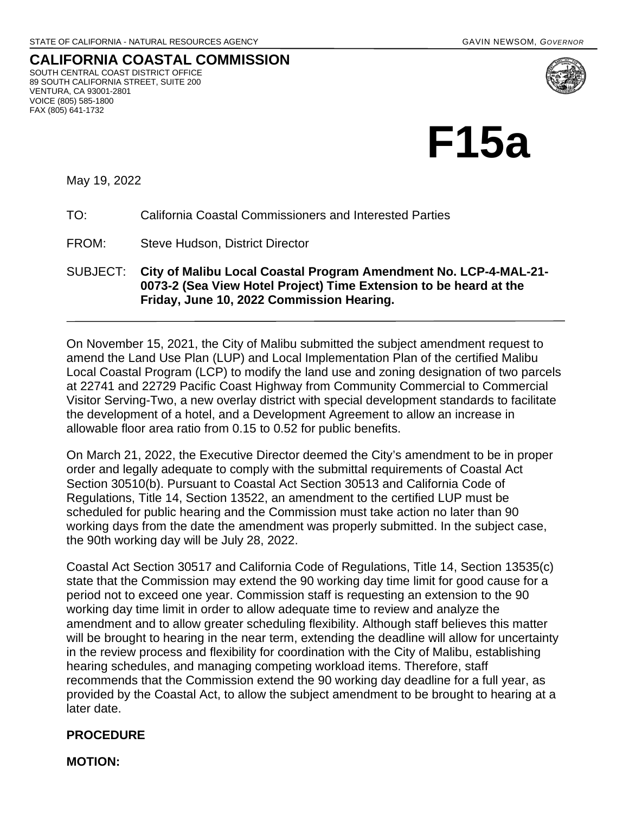**CALIFORNIA COASTAL COMMISSION** SOUTH CENTRAL COAST DISTRICT OFFICE 89 SOUTH CALIFORNIA STREET, SUITE 200 VENTURA, CA 93001-2801 VOICE (805) 585-1800 FAX (805) 641-1732



May 19, 2022

## TO: California Coastal Commissioners and Interested Parties

FROM: Steve Hudson, District Director

SUBJECT: **City of Malibu Local Coastal Program Amendment No. LCP-4-MAL-21- 0073-2 (Sea View Hotel Project) Time Extension to be heard at the Friday, June 10, 2022 Commission Hearing.**

On November 15, 2021, the City of Malibu submitted the subject amendment request to amend the Land Use Plan (LUP) and Local Implementation Plan of the certified Malibu Local Coastal Program (LCP) to modify the land use and zoning designation of two parcels at 22741 and 22729 Pacific Coast Highway from Community Commercial to Commercial Visitor Serving-Two, a new overlay district with special development standards to facilitate the development of a hotel, and a Development Agreement to allow an increase in allowable floor area ratio from 0.15 to 0.52 for public benefits.

On March 21, 2022, the Executive Director deemed the City's amendment to be in proper order and legally adequate to comply with the submittal requirements of Coastal Act Section 30510(b). Pursuant to Coastal Act Section 30513 and California Code of Regulations, Title 14, Section 13522, an amendment to the certified LUP must be scheduled for public hearing and the Commission must take action no later than 90 working days from the date the amendment was properly submitted. In the subject case, the 90th working day will be July 28, 2022.

Coastal Act Section 30517 and California Code of Regulations, Title 14, Section 13535(c) state that the Commission may extend the 90 working day time limit for good cause for a period not to exceed one year. Commission staff is requesting an extension to the 90 working day time limit in order to allow adequate time to review and analyze the amendment and to allow greater scheduling flexibility. Although staff believes this matter will be brought to hearing in the near term, extending the deadline will allow for uncertainty in the review process and flexibility for coordination with the City of Malibu, establishing hearing schedules, and managing competing workload items. Therefore, staff recommends that the Commission extend the 90 working day deadline for a full year, as provided by the Coastal Act, to allow the subject amendment to be brought to hearing at a later date.

## **PROCEDURE**

**MOTION:**